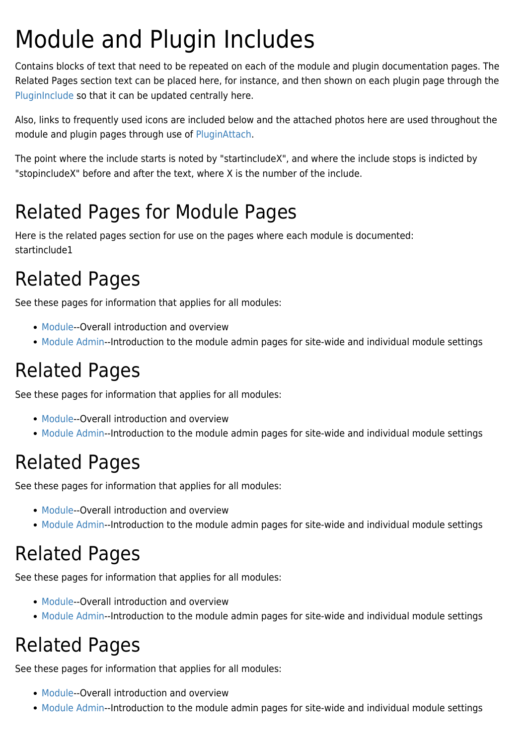# Module and Plugin Includes

Contains blocks of text that need to be repeated on each of the module and plugin documentation pages. The Related Pages section text can be placed here, for instance, and then shown on each plugin page through the [PluginInclude](https://doc.tiki.org/PluginInclude) so that it can be updated centrally here.

Also, links to frequently used icons are included below and the attached photos here are used throughout the module and plugin pages through use of [PluginAttach](https://doc.tiki.org/PluginAttach).

The point where the include starts is noted by "startincludeX", and where the include stops is indicted by "stopincludeX" before and after the text, where X is the number of the include.

### Related Pages for Module Pages

Here is the related pages section for use on the pages where each module is documented: startinclude1

# Related Pages

See these pages for information that applies for all modules:

- [Module](https://doc.tiki.org/Module)--Overall introduction and overview
- [Module Admin-](https://doc.tiki.org/Module-Admin)-Introduction to the module admin pages for site-wide and individual module settings

# Related Pages

See these pages for information that applies for all modules:

- [Module](https://doc.tiki.org/Module)--Overall introduction and overview
- [Module Admin-](https://doc.tiki.org/Module-Admin)-Introduction to the module admin pages for site-wide and individual module settings

### Related Pages

See these pages for information that applies for all modules:

- [Module](https://doc.tiki.org/Module)--Overall introduction and overview
- [Module Admin-](https://doc.tiki.org/Module-Admin)-Introduction to the module admin pages for site-wide and individual module settings

### Related Pages

See these pages for information that applies for all modules:

- [Module](https://doc.tiki.org/Module)--Overall introduction and overview
- [Module Admin-](https://doc.tiki.org/Module-Admin)-Introduction to the module admin pages for site-wide and individual module settings

### Related Pages

See these pages for information that applies for all modules:

- [Module](https://doc.tiki.org/Module)--Overall introduction and overview
- [Module Admin-](https://doc.tiki.org/Module-Admin)-Introduction to the module admin pages for site-wide and individual module settings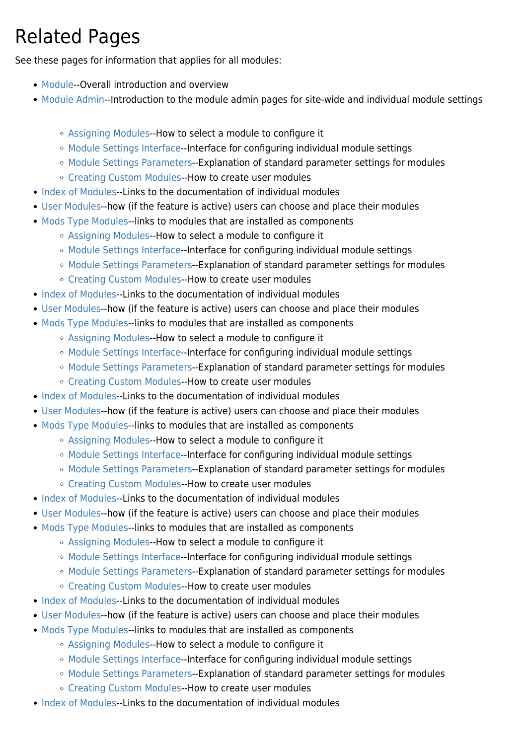# Related Pages

See these pages for information that applies for all modules:

- [Module](https://doc.tiki.org/Module)--Overall introduction and overview
- [Module Admin-](https://doc.tiki.org/Module-Admin)-Introduction to the module admin pages for site-wide and individual module settings
	- [Assigning Modules](https://doc.tiki.org/Assigning-Modules)--How to select a module to configure it
	- [Module Settings Interface](https://doc.tiki.org/Module-Settings-Interface)--Interface for configuring individual module settings
	- [Module Settings Parameters](https://doc.tiki.org/Module-Settings-Parameters)--Explanation of standard parameter settings for modules
	- [Creating Custom Modules-](https://doc.tiki.org/Creating-Custom-Modules)-How to create user modules
- [Index of Modules](https://doc.tiki.org/Index-of-Modules)--Links to the documentation of individual modules
- [User Modules-](https://doc.tiki.org/User-Modules)-how (if the feature is active) users can choose and place their modules
- [Mods Type Modules-](https://doc.tiki.org/Mods-Type-Modules)-links to modules that are installed as components
	- [Assigning Modules](https://doc.tiki.org/Assigning-Modules)--How to select a module to configure it
	- [Module Settings Interface](https://doc.tiki.org/Module-Settings-Interface)--Interface for configuring individual module settings
	- [Module Settings Parameters](https://doc.tiki.org/Module-Settings-Parameters)--Explanation of standard parameter settings for modules
	- [Creating Custom Modules-](https://doc.tiki.org/Creating-Custom-Modules)-How to create user modules
- [Index of Modules](https://doc.tiki.org/Index-of-Modules)--Links to the documentation of individual modules
- [User Modules-](https://doc.tiki.org/User-Modules)-how (if the feature is active) users can choose and place their modules
- [Mods Type Modules-](https://doc.tiki.org/Mods-Type-Modules)-links to modules that are installed as components
	- [Assigning Modules](https://doc.tiki.org/Assigning-Modules)--How to select a module to configure it
	- [Module Settings Interface](https://doc.tiki.org/Module-Settings-Interface)--Interface for configuring individual module settings
	- [Module Settings Parameters](https://doc.tiki.org/Module-Settings-Parameters)--Explanation of standard parameter settings for modules
	- [Creating Custom Modules-](https://doc.tiki.org/Creating-Custom-Modules)-How to create user modules
- [Index of Modules](https://doc.tiki.org/Index-of-Modules)--Links to the documentation of individual modules
- [User Modules-](https://doc.tiki.org/User-Modules)-how (if the feature is active) users can choose and place their modules
- [Mods Type Modules-](https://doc.tiki.org/Mods-Type-Modules)-links to modules that are installed as components
	- [Assigning Modules](https://doc.tiki.org/Assigning-Modules)--How to select a module to configure it
	- [Module Settings Interface](https://doc.tiki.org/Module-Settings-Interface)--Interface for configuring individual module settings
	- [Module Settings Parameters](https://doc.tiki.org/Module-Settings-Parameters)--Explanation of standard parameter settings for modules
	- [Creating Custom Modules-](https://doc.tiki.org/Creating-Custom-Modules)-How to create user modules
- [Index of Modules](https://doc.tiki.org/Index-of-Modules)--Links to the documentation of individual modules
- [User Modules-](https://doc.tiki.org/User-Modules)-how (if the feature is active) users can choose and place their modules
- [Mods Type Modules-](https://doc.tiki.org/Mods-Type-Modules)-links to modules that are installed as components
	- [Assigning Modules](https://doc.tiki.org/Assigning-Modules)--How to select a module to configure it
	- [Module Settings Interface](https://doc.tiki.org/Module-Settings-Interface)--Interface for configuring individual module settings
	- [Module Settings Parameters](https://doc.tiki.org/Module-Settings-Parameters)--Explanation of standard parameter settings for modules
	- [Creating Custom Modules-](https://doc.tiki.org/Creating-Custom-Modules)-How to create user modules
- [Index of Modules](https://doc.tiki.org/Index-of-Modules)--Links to the documentation of individual modules
- [User Modules-](https://doc.tiki.org/User-Modules)-how (if the feature is active) users can choose and place their modules
- [Mods Type Modules-](https://doc.tiki.org/Mods-Type-Modules)-links to modules that are installed as components
	- [Assigning Modules](https://doc.tiki.org/Assigning-Modules)--How to select a module to configure it
	- [Module Settings Interface](https://doc.tiki.org/Module-Settings-Interface)--Interface for configuring individual module settings
	- [Module Settings Parameters](https://doc.tiki.org/Module-Settings-Parameters)--Explanation of standard parameter settings for modules
	- [Creating Custom Modules-](https://doc.tiki.org/Creating-Custom-Modules)-How to create user modules
- [Index of Modules](https://doc.tiki.org/Index-of-Modules)--Links to the documentation of individual modules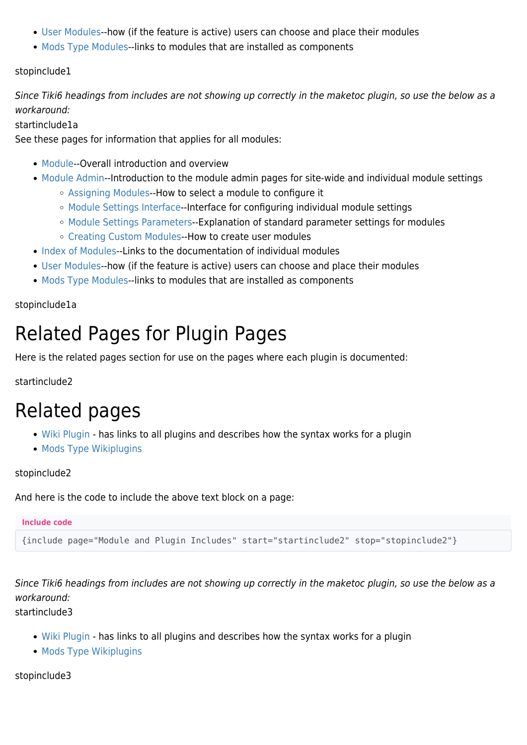- [User Modules-](https://doc.tiki.org/User-Modules)-how (if the feature is active) users can choose and place their modules
- [Mods Type Modules-](https://doc.tiki.org/Mods-Type-Modules)-links to modules that are installed as components

#### stopinclude1

Since Tiki6 headings from includes are not showing up correctly in the maketoc plugin, so use the below as a workaround:

#### startinclude1a

See these pages for information that applies for all modules:

- [Module](https://doc.tiki.org/Module)--Overall introduction and overview
- [Module Admin-](https://doc.tiki.org/Module-Admin)-Introduction to the module admin pages for site-wide and individual module settings
	- [Assigning Modules](https://doc.tiki.org/Assigning-Modules)--How to select a module to configure it
	- [Module Settings Interface](https://doc.tiki.org/Module-Settings-Interface)--Interface for configuring individual module settings
	- [Module Settings Parameters](https://doc.tiki.org/Module-Settings-Parameters)--Explanation of standard parameter settings for modules
	- [Creating Custom Modules-](https://doc.tiki.org/Creating-Custom-Modules)-How to create user modules
- [Index of Modules](https://doc.tiki.org/Index-of-Modules)--Links to the documentation of individual modules
- [User Modules-](https://doc.tiki.org/User-Modules)-how (if the feature is active) users can choose and place their modules
- [Mods Type Modules-](https://doc.tiki.org/Mods-Type-Modules)-links to modules that are installed as components

#### stopinclude1a

### Related Pages for Plugin Pages

Here is the related pages section for use on the pages where each plugin is documented:

startinclude2

### Related pages

- [Wiki Plugin](https://doc.tiki.org/Wiki%20Plugin)  has links to all plugins and describes how the syntax works for a plugin
- [Mods Type Wikiplugins](https://doc.tiki.org/Mods-Type-Wikiplugins)

#### stopinclude2

And here is the code to include the above text block on a page:

#### **Include code**

{include page="Module and Plugin Includes" start="startinclude2" stop="stopinclude2"}

Since Tiki6 headings from includes are not showing up correctly in the maketoc plugin, so use the below as a workaround:

startinclude3

- [Wiki Plugin](https://doc.tiki.org/Wiki%20Plugin)  has links to all plugins and describes how the syntax works for a plugin
- [Mods Type Wikiplugins](https://doc.tiki.org/Mods-Type-Wikiplugins)

stopinclude3